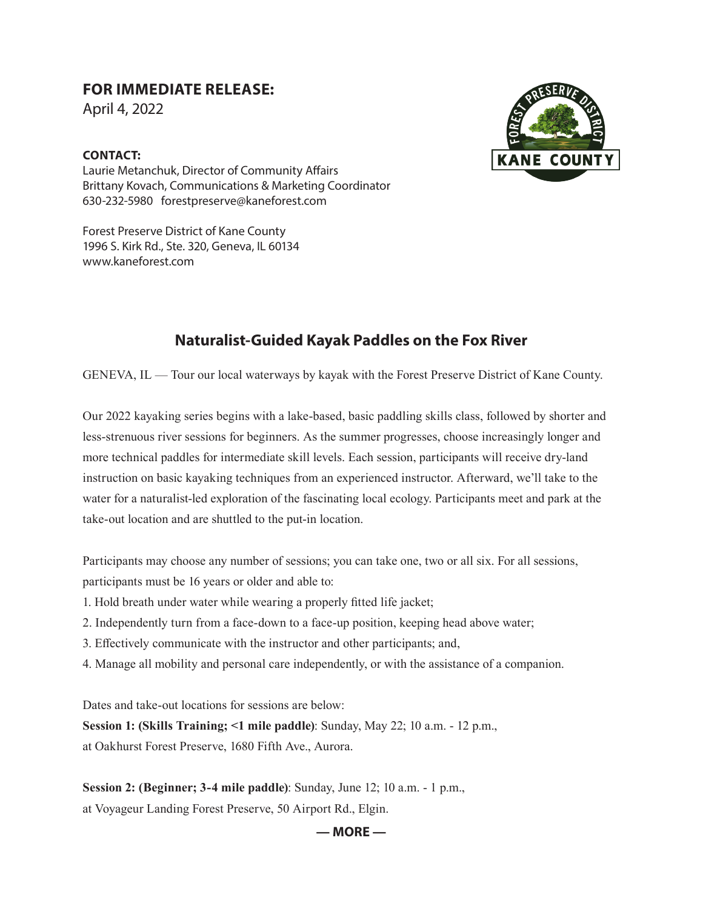## **FOR IMMEDIATE RELEASE:**

April 4, 2022

## **CONTACT:**



Forest Preserve District of Kane County 1996 S. Kirk Rd., Ste. 320, Geneva, IL 60134 www.kaneforest.com

## **Naturalist-Guided Kayak Paddles on the Fox River**

GENEVA, IL — Tour our local waterways by kayak with the Forest Preserve District of Kane County.

Our 2022 kayaking series begins with a lake-based, basic paddling skills class, followed by shorter and less-strenuous river sessions for beginners. As the summer progresses, choose increasingly longer and more technical paddles for intermediate skill levels. Each session, participants will receive dry-land instruction on basic kayaking techniques from an experienced instructor. Afterward, we'll take to the water for a naturalist-led exploration of the fascinating local ecology. Participants meet and park at the take-out location and are shuttled to the put-in location.

Participants may choose any number of sessions; you can take one, two or all six. For all sessions, participants must be 16 years or older and able to:

- 1. Hold breath under water while wearing a properly fitted life jacket;
- 2. Independently turn from a face-down to a face-up position, keeping head above water;
- 3. Effectively communicate with the instructor and other participants; and,
- 4. Manage all mobility and personal care independently, or with the assistance of a companion.

Dates and take-out locations for sessions are below:

**Session 1: (Skills Training; <1 mile paddle)**: Sunday, May 22; 10 a.m. - 12 p.m., at Oakhurst Forest Preserve, 1680 Fifth Ave., Aurora.

**Session 2: (Beginner; 3-4 mile paddle)**: Sunday, June 12; 10 a.m. - 1 p.m., at Voyageur Landing Forest Preserve, 50 Airport Rd., Elgin.



## **— MORE —**